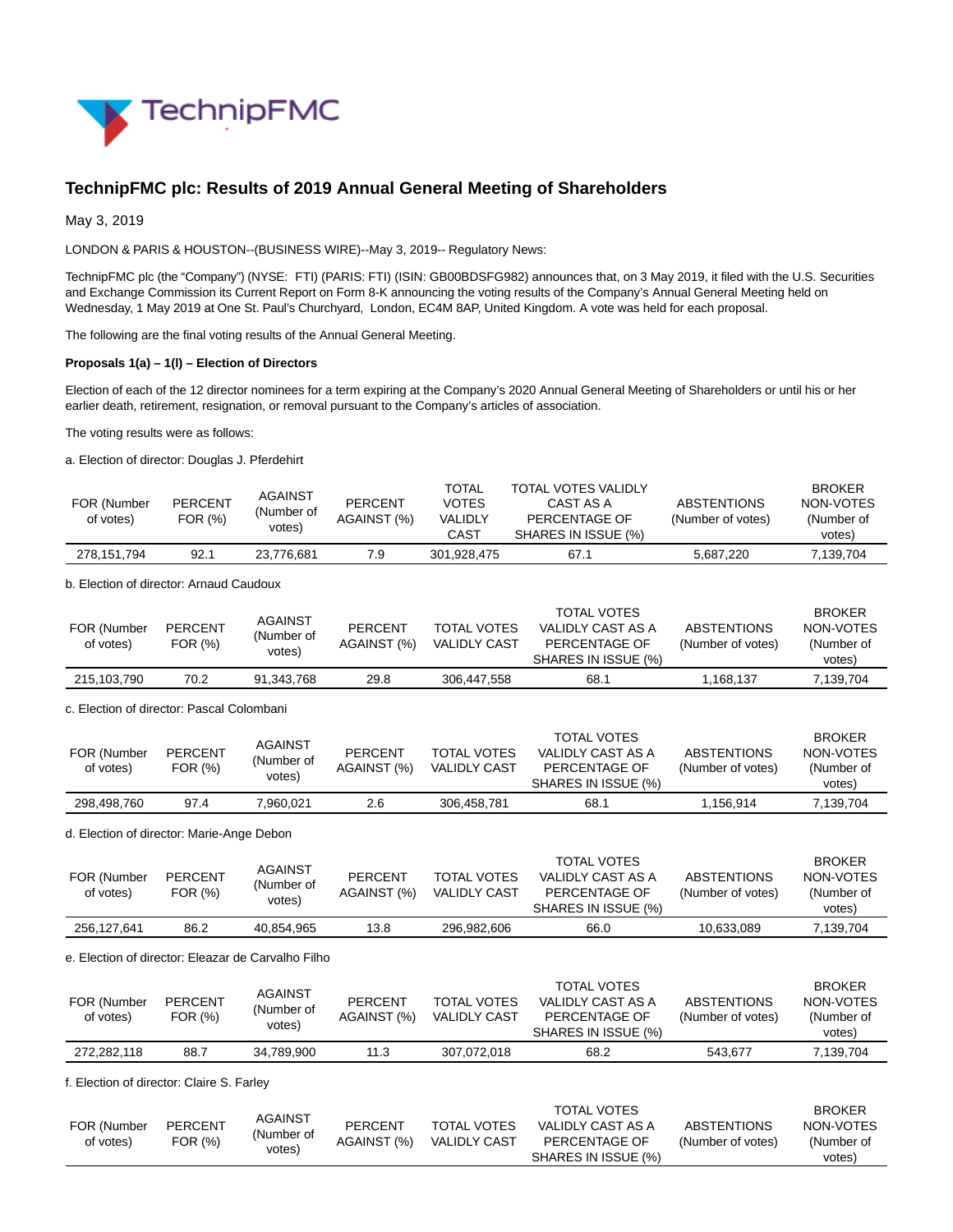

# **TechnipFMC plc: Results of 2019 Annual General Meeting of Shareholders**

May 3, 2019

LONDON & PARIS & HOUSTON--(BUSINESS WIRE)--May 3, 2019-- Regulatory News:

TechnipFMC plc (the "Company") (NYSE: FTI) (PARIS: FTI) (ISIN: GB00BDSFG982) announces that, on 3 May 2019, it filed with the U.S. Securities and Exchange Commission its Current Report on Form 8-K announcing the voting results of the Company's Annual General Meeting held on Wednesday, 1 May 2019 at One St. Paul's Churchyard, London, EC4M 8AP, United Kingdom. A vote was held for each proposal.

The following are the final voting results of the Annual General Meeting.

### **Proposals 1(a) – 1(l) – Election of Directors**

Election of each of the 12 director nominees for a term expiring at the Company's 2020 Annual General Meeting of Shareholders or until his or her earlier death, retirement, resignation, or removal pursuant to the Company's articles of association.

The voting results were as follows:

a. Election of director: Douglas J. Pferdehirt

| FOR (Number<br>of votes) | <b>PERCENT</b><br>FOR (%) | <b>AGAINST</b><br>(Number of<br>votes) | <b>PERCENT</b><br>AGAINST (%) | <b>TOTAL</b><br>VOTES<br><b>VALIDLY</b><br>CAST | <b>TOTAL VOTES VALIDLY</b><br>CAST AS A<br>PERCENTAGE OF<br>SHARES IN ISSUE (%) | <b>ABSTENTIONS</b><br>(Number of votes) | <b>BROKER</b><br>NON-VOTES<br>(Number of<br>votes) |
|--------------------------|---------------------------|----------------------------------------|-------------------------------|-------------------------------------------------|---------------------------------------------------------------------------------|-----------------------------------------|----------------------------------------------------|
| 278,151,794              | 92.1                      | 23.776.681                             | 7.9                           | 301.928.475                                     | 67.1                                                                            | 5.687.220                               | 7.139.704                                          |

b. Election of director: Arnaud Caudoux

| FOR (Number<br>of votes) | <b>PERCENT</b><br>FOR (%) | <b>AGAINST</b><br>(Number of<br>votes) | PERCENT<br>AGAINST (%) | <b>TOTAL VOTES</b><br><b>VALIDLY CAST</b> | <b>TOTAL VOTES</b><br>VALIDLY CAST AS A<br>PERCENTAGE OF<br>SHARES IN ISSUE (%) | <b>ABSTENTIONS</b><br>(Number of votes) | <b>BROKER</b><br>NON-VOTES<br>(Number of<br>votes) |
|--------------------------|---------------------------|----------------------------------------|------------------------|-------------------------------------------|---------------------------------------------------------------------------------|-----------------------------------------|----------------------------------------------------|
| 215.103.790              | 70.2                      | 91.343.768                             | 29.8                   | 306.447.558                               | 68.1                                                                            | .168.137                                | 7.139.704                                          |

c. Election of director: Pascal Colombani

| FOR (Number<br>of votes) | <b>PERCENT</b><br>FOR (%) | AGAINST<br>(Number of<br>votes) | <b>PERCENT</b><br>AGAINST (%) | <b>TOTAL VOTES</b><br><b>VALIDLY CAST</b> | <b>TOTAL VOTES</b><br>VALIDLY CAST AS A<br>PERCENTAGE OF<br>SHARES IN ISSUE (%) | <b>ABSTENTIONS</b><br>(Number of votes) | <b>BROKER</b><br>NON-VOTES<br>(Number of<br>votes) |
|--------------------------|---------------------------|---------------------------------|-------------------------------|-------------------------------------------|---------------------------------------------------------------------------------|-----------------------------------------|----------------------------------------------------|
| 298,498,760              | 97.4                      | .960.021                        | 2.6                           | 306.458.781                               | 68.1                                                                            | l.156.914                               | 7,139,704                                          |

d. Election of director: Marie-Ange Debon

| FOR (Number<br>of votes) | <b>PERCENT</b><br>FOR (%) | <b>AGAINST</b><br>(Number of<br>votes) | <b>PERCENT</b><br>AGAINST (%) | <b>TOTAL VOTES</b><br><b>VALIDLY CAST</b> | <b>TOTAL VOTES</b><br>VALIDLY CAST AS A<br>PERCENTAGE OF<br>SHARES IN ISSUE (%) | ABSTENTIONS<br>(Number of votes) | <b>BROKER</b><br>NON-VOTES<br>(Number of<br>votes) |
|--------------------------|---------------------------|----------------------------------------|-------------------------------|-------------------------------------------|---------------------------------------------------------------------------------|----------------------------------|----------------------------------------------------|
| 256.127.641              | 86.2                      | 40.854.965                             | 13.8                          | 296.982.606                               | 66.0                                                                            | 10.633.089                       | 7.139.704                                          |

e. Election of director: Eleazar de Carvalho Filho

| FOR (Number<br>of votes) | <b>PERCENT</b><br>FOR (%) | <b>AGAINST</b><br>(Number of<br>votes) | PERCENT<br>AGAINST (%) | <b>TOTAL VOTES</b><br><b>VALIDLY CAST</b> | <b>TOTAL VOTES</b><br>VALIDLY CAST AS A<br>PERCENTAGE OF<br>SHARES IN ISSUE (%) | <b>ABSTENTIONS</b><br>(Number of votes) | <b>BROKER</b><br>NON-VOTES<br>(Number of<br>votes) |
|--------------------------|---------------------------|----------------------------------------|------------------------|-------------------------------------------|---------------------------------------------------------------------------------|-----------------------------------------|----------------------------------------------------|
| 272.282.118              | 88.7                      | 34.789.900                             | 11.3                   | 307.072.018                               | 68.2                                                                            | 543.677                                 | 7.139.704                                          |

f. Election of director: Claire S. Farley

|             |                | <b>AGAINST</b> |                |                     | <b>TOTAL VOTES</b>  |                    | <b>BROKER</b> |
|-------------|----------------|----------------|----------------|---------------------|---------------------|--------------------|---------------|
| FOR (Number | <b>PERCENT</b> | (Number of     | <b>PERCENT</b> | <b>TOTAL VOTES</b>  | VALIDLY CAST AS A   | <b>ABSTENTIONS</b> | NON-VOTES     |
| of votes)   | FOR (%)        |                | AGAINST (%)    | <b>VALIDLY CAST</b> | PERCENTAGE OF       | (Number of votes)  | (Number of    |
|             |                | votes)         |                |                     | SHARES IN ISSUE (%) |                    | votes)        |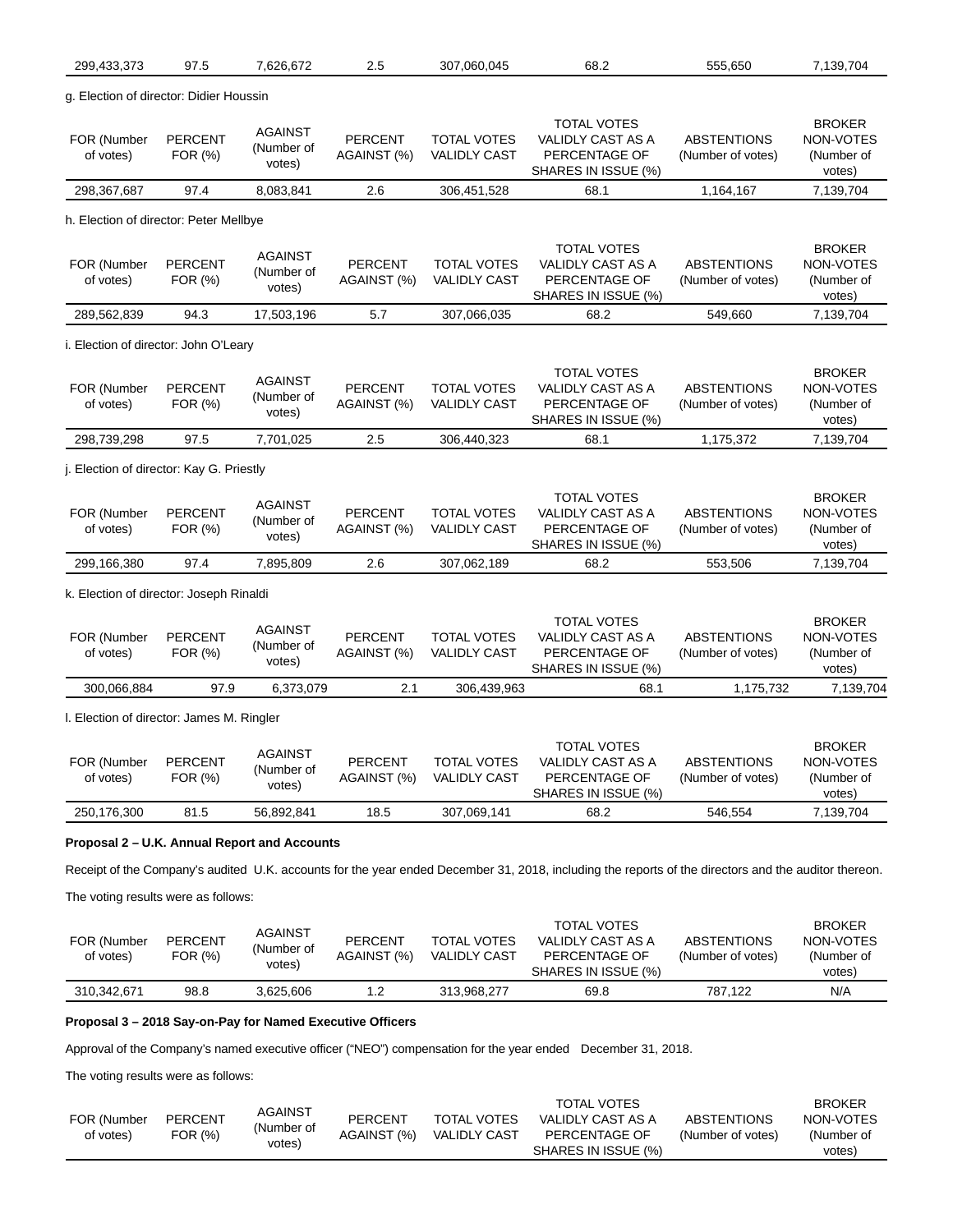| 299,433,373                                               | 97.5                      | 7,626,672                              | 2.5                           | 307,060,045                               | 68.2                                                                                                                                                 | 555,650                                 | 7,139,704                                          |
|-----------------------------------------------------------|---------------------------|----------------------------------------|-------------------------------|-------------------------------------------|------------------------------------------------------------------------------------------------------------------------------------------------------|-----------------------------------------|----------------------------------------------------|
| g. Election of director: Didier Houssin                   |                           |                                        |                               |                                           |                                                                                                                                                      |                                         |                                                    |
| FOR (Number<br>of votes)                                  | <b>PERCENT</b><br>FOR (%) | <b>AGAINST</b><br>(Number of<br>votes) | <b>PERCENT</b><br>AGAINST (%) | <b>TOTAL VOTES</b><br><b>VALIDLY CAST</b> | <b>TOTAL VOTES</b><br><b>VALIDLY CAST AS A</b><br>PERCENTAGE OF<br>SHARES IN ISSUE (%)                                                               | <b>ABSTENTIONS</b><br>(Number of votes) | <b>BROKER</b><br>NON-VOTES<br>(Number of<br>votes) |
| 298,367,687                                               | 97.4                      | 8,083,841                              | 2.6                           | 306,451,528                               | 68.1                                                                                                                                                 | 1,164,167                               | 7,139,704                                          |
| h. Election of director: Peter Mellbye                    |                           |                                        |                               |                                           |                                                                                                                                                      |                                         |                                                    |
| FOR (Number<br>of votes)                                  | PERCENT<br>FOR (%)        | <b>AGAINST</b><br>(Number of<br>votes) | <b>PERCENT</b><br>AGAINST (%) | <b>TOTAL VOTES</b><br><b>VALIDLY CAST</b> | <b>TOTAL VOTES</b><br><b>VALIDLY CAST AS A</b><br>PERCENTAGE OF<br>SHARES IN ISSUE (%)                                                               | <b>ABSTENTIONS</b><br>(Number of votes) | <b>BROKER</b><br>NON-VOTES<br>(Number of<br>votes) |
| 289,562,839                                               | 94.3                      | 17,503,196                             | 5.7                           | 307,066,035                               | 68.2                                                                                                                                                 | 549,660                                 | 7,139,704                                          |
| i. Election of director: John O'Leary                     |                           |                                        |                               |                                           |                                                                                                                                                      |                                         |                                                    |
| FOR (Number<br>of votes)                                  | <b>PERCENT</b><br>FOR (%) | <b>AGAINST</b><br>(Number of<br>votes) | <b>PERCENT</b><br>AGAINST (%) | <b>TOTAL VOTES</b><br><b>VALIDLY CAST</b> | <b>TOTAL VOTES</b><br><b>VALIDLY CAST AS A</b><br>PERCENTAGE OF<br>SHARES IN ISSUE (%)                                                               | <b>ABSTENTIONS</b><br>(Number of votes) | <b>BROKER</b><br>NON-VOTES<br>(Number of<br>votes) |
| 298,739,298                                               | 97.5                      | 7,701,025                              | 2.5                           | 306,440,323                               | 68.1                                                                                                                                                 | 1,175,372                               | 7,139,704                                          |
| j. Election of director: Kay G. Priestly                  |                           |                                        |                               |                                           |                                                                                                                                                      |                                         |                                                    |
| FOR (Number<br>of votes)                                  | <b>PERCENT</b><br>FOR (%) | <b>AGAINST</b><br>(Number of<br>votes) | <b>PERCENT</b><br>AGAINST (%) | <b>TOTAL VOTES</b><br><b>VALIDLY CAST</b> | <b>TOTAL VOTES</b><br><b>VALIDLY CAST AS A</b><br>PERCENTAGE OF<br>SHARES IN ISSUE (%)                                                               | <b>ABSTENTIONS</b><br>(Number of votes) | <b>BROKER</b><br>NON-VOTES<br>(Number of<br>votes) |
| 299,166,380                                               | 97.4                      | 7,895,809                              | 2.6                           | 307,062,189                               | 68.2                                                                                                                                                 | 553,506                                 | 7,139,704                                          |
| k. Election of director: Joseph Rinaldi                   |                           |                                        |                               |                                           |                                                                                                                                                      |                                         |                                                    |
| FOR (Number<br>of votes)                                  | <b>PERCENT</b><br>FOR (%) | <b>AGAINST</b><br>(Number of<br>votes) | <b>PERCENT</b><br>AGAINST (%) | <b>TOTAL VOTES</b><br><b>VALIDLY CAST</b> | <b>TOTAL VOTES</b><br>VALIDLY CAST AS A<br>PERCENTAGE OF<br>SHARES IN ISSUE (%)                                                                      | <b>ABSTENTIONS</b><br>(Number of votes) | <b>BROKER</b><br>NON-VOTES<br>(Number of<br>votes) |
| 300,066,884                                               | 97.9                      | 6,373,079                              | 2.1                           | 306,439,963                               | 68.1                                                                                                                                                 | 1,175,732                               | 7,139,704                                          |
| I. Election of director: James M. Ringler                 |                           |                                        |                               |                                           |                                                                                                                                                      |                                         |                                                    |
| FOR (Number<br>of votes)                                  | <b>PERCENT</b><br>FOR (%) | <b>AGAINST</b><br>(Number of<br>votes) | <b>PERCENT</b><br>AGAINST (%) | <b>TOTAL VOTES</b><br><b>VALIDLY CAST</b> | <b>TOTAL VOTES</b><br>VALIDLY CAST AS A<br>PERCENTAGE OF<br>SHARES IN ISSUE (%)                                                                      | <b>ABSTENTIONS</b><br>(Number of votes) | <b>BROKER</b><br>NON-VOTES<br>(Number of<br>votes) |
| 250,176,300                                               | 81.5                      | 56,892,841                             | 18.5                          | 307,069,141                               | 68.2                                                                                                                                                 | 546,554                                 | 7,139,704                                          |
| Proposal 2 – U.K. Annual Report and Accounts              |                           |                                        |                               |                                           |                                                                                                                                                      |                                         |                                                    |
|                                                           |                           |                                        |                               |                                           | Receipt of the Company's audited U.K. accounts for the year ended December 31, 2018, including the reports of the directors and the auditor thereon. |                                         |                                                    |
| The voting results were as follows:                       |                           |                                        |                               |                                           |                                                                                                                                                      |                                         |                                                    |
| FOR (Number<br>of votes)                                  | <b>PERCENT</b><br>FOR (%) | AGAINST<br>(Number of<br>votes)        | <b>PERCENT</b><br>AGAINST (%) | TOTAL VOTES<br><b>VALIDLY CAST</b>        | <b>TOTAL VOTES</b><br>VALIDLY CAST AS A<br>PERCENTAGE OF<br>SHARES IN ISSUE (%)                                                                      | <b>ABSTENTIONS</b><br>(Number of votes) | <b>BROKER</b><br>NON-VOTES<br>(Number of<br>votes) |
| 310,342,671                                               | 98.8                      | 3,625,606                              | $1.2$                         | 313,968,277                               | 69.8                                                                                                                                                 | 787,122                                 | N/A                                                |
| Proposal 3 – 2018 Say-on-Pay for Named Executive Officers |                           |                                        |                               |                                           |                                                                                                                                                      |                                         |                                                    |
|                                                           |                           |                                        |                               |                                           | Approval of the Company's named executive officer ("NEO") compensation for the year ended December 31, 2018.                                         |                                         |                                                    |

The voting results were as follows:

|             |         | <b>AGAINST</b> |                |                     | <b>TOTAL VOTES</b>  |                    | <b>BROKER</b> |
|-------------|---------|----------------|----------------|---------------------|---------------------|--------------------|---------------|
| FOR (Number | PERCENT |                | <b>PERCENT</b> | <b>TOTAL VOTES</b>  | VALIDLY CAST AS A   | <b>ABSTENTIONS</b> | NON-VOTES     |
| of votes)   | FOR (%) | (Number of     | AGAINST (%)    | <b>VALIDLY CAST</b> | PERCENTAGE OF       | (Number of votes)  | (Number of    |
|             |         | votes)         |                |                     | SHARES IN ISSUE (%) |                    | votes)        |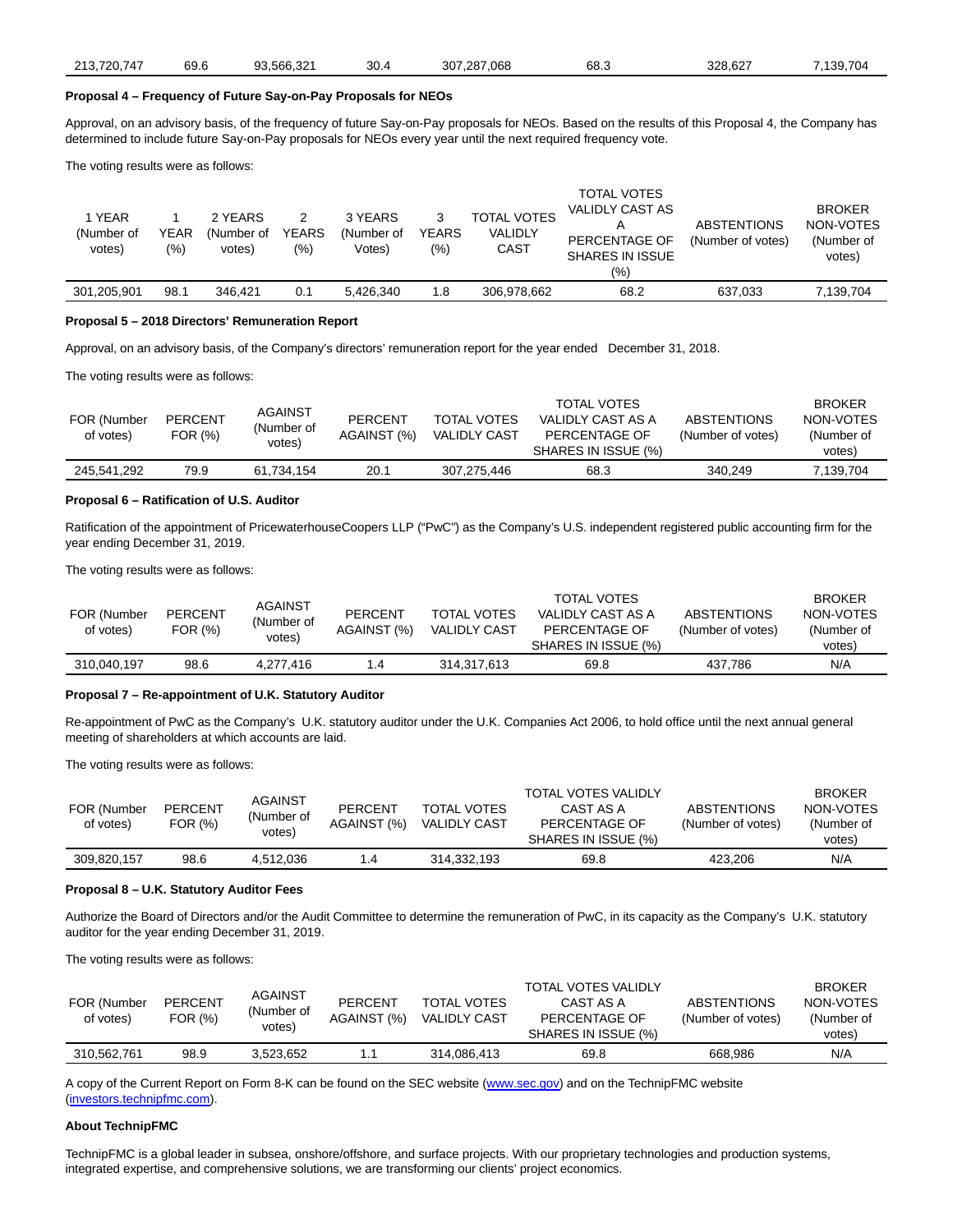| 566.321.<br>.<br>210, 120. | 720.747<br>$\sim$ $\sim$ | 69.6<br>ົ | 30.4 | 307.287.068 | 68.J | 328.627 | 139.704 |
|----------------------------|--------------------------|-----------|------|-------------|------|---------|---------|
|----------------------------|--------------------------|-----------|------|-------------|------|---------|---------|

### **Proposal 4 – Frequency of Future Say-on-Pay Proposals for NEOs**

Approval, on an advisory basis, of the frequency of future Say-on-Pay proposals for NEOs. Based on the results of this Proposal 4, the Company has determined to include future Say-on-Pay proposals for NEOs every year until the next required frequency vote.

The voting results were as follows:

| 1 YEAR<br>(Number of<br>votes) | YEAR<br>(%) | 2 YEARS<br>(Number of<br>votes) | <b>YEARS</b><br>$(\% )$ | 3 YEARS<br>(Number of<br>Votes) | YEARS<br>$(\%)$ | <b>TOTAL VOTES</b><br><b>VALIDLY</b><br>CAST | <b>TOTAL VOTES</b><br>VALIDLY CAST AS<br>A<br>PERCENTAGE OF<br><b>SHARES IN ISSUE</b><br>(%) | <b>ABSTENTIONS</b><br>(Number of votes) | <b>BROKER</b><br>NON-VOTES<br>(Number of<br>votes) |
|--------------------------------|-------------|---------------------------------|-------------------------|---------------------------------|-----------------|----------------------------------------------|----------------------------------------------------------------------------------------------|-----------------------------------------|----------------------------------------------------|
| 301,205,901                    | 98.1        | 346.421                         | 0.1                     | 5.426.340                       | 1.8             | 306.978.662                                  | 68.2                                                                                         | 637.033                                 | 7,139,704                                          |

#### **Proposal 5 – 2018 Directors' Remuneration Report**

Approval, on an advisory basis, of the Company's directors' remuneration report for the year ended December 31, 2018.

The voting results were as follows:

| FOR (Number<br>of votes) | <b>PERCENT</b><br>FOR (%) | <b>AGAINST</b><br>(Number of<br>votes) | <b>PERCENT</b><br>AGAINST (%) | <b>TOTAL VOTES</b><br><b>VALIDLY CAST</b> | <b>TOTAL VOTES</b><br>VALIDLY CAST AS A<br>PERCENTAGE OF<br>SHARES IN ISSUE (%) | <b>ABSTENTIONS</b><br>(Number of votes) | <b>BROKER</b><br>NON-VOTES<br>(Number of<br>votes) |
|--------------------------|---------------------------|----------------------------------------|-------------------------------|-------------------------------------------|---------------------------------------------------------------------------------|-----------------------------------------|----------------------------------------------------|
| 245.541.292              | 79.9                      | 61.734.154                             | 20.1                          | 307.275.446                               | 68.3                                                                            | 340.249                                 | 7,139,704                                          |

### **Proposal 6 – Ratification of U.S. Auditor**

Ratification of the appointment of PricewaterhouseCoopers LLP ("PwC") as the Company's U.S. independent registered public accounting firm for the year ending December 31, 2019.

The voting results were as follows:

| FOR (Number<br>of votes) | <b>PERCENT</b><br>FOR (%) | AGAINST<br>(Number of<br>votes) | <b>PERCENT</b><br>AGAINST (%) | <b>TOTAL VOTES</b><br><b>VALIDLY CAST</b> | <b>TOTAL VOTES</b><br>VALIDLY CAST AS A<br>PERCENTAGE OF<br>SHARES IN ISSUE (%) | <b>ABSTENTIONS</b><br>(Number of votes) | <b>BROKER</b><br>NON-VOTES<br>(Number of<br>votes) |
|--------------------------|---------------------------|---------------------------------|-------------------------------|-------------------------------------------|---------------------------------------------------------------------------------|-----------------------------------------|----------------------------------------------------|
| 310,040,197              | 98.6                      | 4.277.416                       | 1.4                           | 314.317.613                               | 69.8                                                                            | 437.786                                 | N/A                                                |

## **Proposal 7 – Re-appointment of U.K. Statutory Auditor**

Re-appointment of PwC as the Company's U.K. statutory auditor under the U.K. Companies Act 2006, to hold office until the next annual general meeting of shareholders at which accounts are laid.

The voting results were as follows:

| FOR (Number<br>of votes) | <b>PERCENT</b><br>FOR (%) | AGAINST<br>(Number of<br>votes) | <b>PERCENT</b><br>AGAINST (%) | <b>TOTAL VOTES</b><br><b>VALIDLY CAST</b> | <b>TOTAL VOTES VALIDLY</b><br>CAST AS A<br>PERCENTAGE OF<br>SHARES IN ISSUE (%) | <b>ABSTENTIONS</b><br>(Number of votes) | <b>BROKER</b><br>NON-VOTES<br>(Number of<br>votes) |
|--------------------------|---------------------------|---------------------------------|-------------------------------|-------------------------------------------|---------------------------------------------------------------------------------|-----------------------------------------|----------------------------------------------------|
| 309.820.157              | 98.6                      | 4.512.036                       | 1.4                           | 314.332.193                               | 69.8                                                                            | 423.206                                 | N/A                                                |

### **Proposal 8 – U.K. Statutory Auditor Fees**

Authorize the Board of Directors and/or the Audit Committee to determine the remuneration of PwC, in its capacity as the Company's U.K. statutory auditor for the year ending December 31, 2019.

The voting results were as follows:

| FOR (Number<br>of votes) | <b>PERCENT</b><br>FOR (%) | AGAINST<br>(Number of<br>votes) | <b>PERCENT</b><br>AGAINST (%) | <b>TOTAL VOTES</b><br><b>VALIDLY CAST</b> | <b>TOTAL VOTES VALIDLY</b><br>CAST AS A<br>PERCENTAGE OF<br>SHARES IN ISSUE (%) | <b>ABSTENTIONS</b><br>(Number of votes) | <b>BROKER</b><br>NON-VOTES<br>(Number of<br>votes) |
|--------------------------|---------------------------|---------------------------------|-------------------------------|-------------------------------------------|---------------------------------------------------------------------------------|-----------------------------------------|----------------------------------------------------|
| 310.562.761              | 98.9                      | 3.523.652                       | 1.1                           | 314.086.413                               | 69.8                                                                            | 668.986                                 | N/A                                                |

A copy of the Current Report on Form 8-K can be found on the SEC website [\(www.sec.gov\)](https://cts.businesswire.com/ct/CT?id=smartlink&url=http%3A%2F%2Fwww.sec.gov&esheet=51979356&newsitemid=20190503005378&lan=en-US&anchor=www.sec.gov&index=1&md5=dfade264a5c7d48c3ee00f893ce65280) and on the TechnipFMC website [\(investors.technipfmc.com\).](https://cts.businesswire.com/ct/CT?id=smartlink&url=http%3A%2F%2Fwww.investors.technipfmc.com&esheet=51979356&newsitemid=20190503005378&lan=en-US&anchor=investors.technipfmc.com&index=2&md5=c77f72270678ae35ef416deb8b6081cd)

### **About TechnipFMC**

TechnipFMC is a global leader in subsea, onshore/offshore, and surface projects. With our proprietary technologies and production systems, integrated expertise, and comprehensive solutions, we are transforming our clients' project economics.